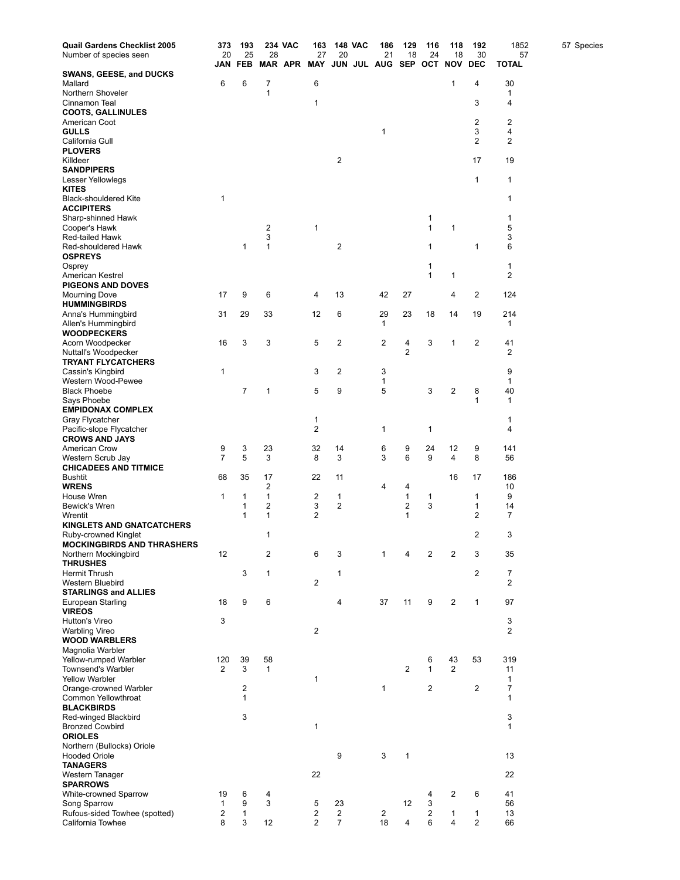| Quail Gardens Checklist 2005                             | 373                     | 193                                     |                         | <b>234 VAC</b> | 163               | <b>148 VAC</b>          | 186                           | 129               | 116          | 118                     | 192              | 1852                           | 57 Species |
|----------------------------------------------------------|-------------------------|-----------------------------------------|-------------------------|----------------|-------------------|-------------------------|-------------------------------|-------------------|--------------|-------------------------|------------------|--------------------------------|------------|
| Number of species seen                                   | 20                      | 25<br><b>JAN FEB</b>                    | 28                      |                | 27<br>MAR APR MAY | 20                      | 21<br>JUN JUL AUG SEP OCT NOV | 18                | 24           | 18                      | 30<br><b>DEC</b> | 57<br><b>TOTAL</b>             |            |
| <b>SWANS, GEESE, and DUCKS</b>                           |                         |                                         |                         |                |                   |                         |                               |                   |              |                         |                  |                                |            |
| Mallard                                                  | 6                       | 6                                       | 7                       |                | 6                 |                         |                               |                   |              | 1                       | 4                | 30                             |            |
| Northern Shoveler                                        |                         |                                         | 1                       |                | 1                 |                         |                               |                   |              |                         | 3                | 1<br>$\overline{4}$            |            |
| Cinnamon Teal<br><b>COOTS, GALLINULES</b>                |                         |                                         |                         |                |                   |                         |                               |                   |              |                         |                  |                                |            |
| American Coot                                            |                         |                                         |                         |                |                   |                         |                               |                   |              |                         | 2                | 2                              |            |
| <b>GULLS</b>                                             |                         |                                         |                         |                |                   |                         | 1                             |                   |              |                         | 3                | 4                              |            |
| California Gull<br><b>PLOVERS</b>                        |                         |                                         |                         |                |                   |                         |                               |                   |              |                         | 2                | 2                              |            |
| Killdeer                                                 |                         |                                         |                         |                |                   | $\overline{\mathbf{c}}$ |                               |                   |              |                         | 17               | 19                             |            |
| <b>SANDPIPERS</b>                                        |                         |                                         |                         |                |                   |                         |                               |                   |              |                         |                  |                                |            |
| Lesser Yellowlegs                                        |                         |                                         |                         |                |                   |                         |                               |                   |              |                         | 1                | 1                              |            |
| <b>KITES</b><br><b>Black-shouldered Kite</b>             | $\mathbf{1}$            |                                         |                         |                |                   |                         |                               |                   |              |                         |                  | 1                              |            |
| <b>ACCIPITERS</b>                                        |                         |                                         |                         |                |                   |                         |                               |                   |              |                         |                  |                                |            |
| Sharp-shinned Hawk                                       |                         |                                         |                         |                |                   |                         |                               |                   | 1            |                         |                  | 1                              |            |
| Cooper's Hawk<br>Red-tailed Hawk                         |                         |                                         | 2<br>3                  |                | 1                 |                         |                               |                   | 1            | 1                       |                  | 5<br>3                         |            |
| Red-shouldered Hawk                                      |                         | 1                                       | 1                       |                |                   | $\overline{\mathbf{c}}$ |                               |                   | 1            |                         | 1                | 6                              |            |
| <b>OSPREYS</b>                                           |                         |                                         |                         |                |                   |                         |                               |                   |              |                         |                  |                                |            |
| Osprey                                                   |                         |                                         |                         |                |                   |                         |                               |                   | 1            |                         |                  | 1                              |            |
| American Kestrel<br><b>PIGEONS AND DOVES</b>             |                         |                                         |                         |                |                   |                         |                               |                   | 1            | 1                       |                  | 2                              |            |
| <b>Mourning Dove</b>                                     | 17                      | 9                                       | 6                       |                | 4                 | 13                      | 42                            | 27                |              | 4                       | 2                | 124                            |            |
| <b>HUMMINGBIRDS</b>                                      |                         |                                         |                         |                |                   |                         |                               |                   |              |                         |                  |                                |            |
| Anna's Hummingbird                                       | 31                      | 29                                      | 33                      |                | 12                | 6                       | 29<br>$\mathbf{1}$            | 23                | 18           | 14                      | 19               | 214<br>1                       |            |
| Allen's Hummingbird<br><b>WOODPECKERS</b>                |                         |                                         |                         |                |                   |                         |                               |                   |              |                         |                  |                                |            |
| Acorn Woodpecker                                         | 16                      | 3                                       | 3                       |                | 5                 | 2                       | $\overline{c}$                | 4                 | 3            | 1                       | 2                | 41                             |            |
| Nuttall's Woodpecker                                     |                         |                                         |                         |                |                   |                         |                               | 2                 |              |                         |                  | 2                              |            |
| <b>TRYANT FLYCATCHERS</b><br>Cassin's Kingbird           | 1                       |                                         |                         |                | 3                 | $\overline{c}$          | 3                             |                   |              |                         |                  | 9                              |            |
| Western Wood-Pewee                                       |                         |                                         |                         |                |                   |                         | 1                             |                   |              |                         |                  | 1                              |            |
| <b>Black Phoebe</b>                                      |                         | $\overline{7}$                          | 1                       |                | 5                 | 9                       | 5                             |                   | 3            | 2                       | 8                | 40                             |            |
| Says Phoebe<br><b>EMPIDONAX COMPLEX</b>                  |                         |                                         |                         |                |                   |                         |                               |                   |              |                         | 1                | 1                              |            |
| Gray Flycatcher                                          |                         |                                         |                         |                | 1                 |                         |                               |                   |              |                         |                  | 1                              |            |
| Pacific-slope Flycatcher                                 |                         |                                         |                         |                | 2                 |                         | 1                             |                   | 1            |                         |                  | 4                              |            |
| <b>CROWS AND JAYS</b><br><b>American Crow</b>            | 9                       | 3                                       | 23                      |                | 32                | 14                      | 6                             | 9                 | 24           | 12                      | 9                | 141                            |            |
| Western Scrub Jay                                        | $\overline{7}$          | 5                                       | 3                       |                | 8                 | 3                       | 3                             | 6                 | 9            | 4                       | 8                | 56                             |            |
| <b>CHICADEES AND TITMICE</b>                             |                         |                                         |                         |                |                   |                         |                               |                   |              |                         |                  |                                |            |
| <b>Bushtit</b>                                           | 68                      | 35                                      | 17                      |                | 22                | 11                      |                               |                   |              | 16                      | 17               | 186                            |            |
| <b>WRENS</b><br>House Wren                               | $\mathbf 1$             | 1                                       | 2<br>1                  |                | 2                 | $\mathbf{1}$            | 4                             | 4<br>$\mathbf{1}$ | 1            |                         | $\mathbf{1}$     | 10<br>9                        |            |
| <b>Bewick's Wren</b>                                     |                         | 1                                       | 2                       |                | 3                 | 2                       |                               | $\overline{c}$    | 3            |                         | 1                | 14                             |            |
| Wrentit                                                  |                         | 1                                       | 1                       |                | 2                 |                         |                               | 1                 |              |                         | 2                | 7                              |            |
| <b>KINGLETS AND GNATCATCHERS</b><br>Ruby-crowned Kinglet |                         |                                         | 1                       |                |                   |                         |                               |                   |              |                         | $\overline{2}$   | 3                              |            |
| <b>MOCKINGBIRDS AND THRASHERS</b>                        |                         |                                         |                         |                |                   |                         |                               |                   |              |                         |                  |                                |            |
| Northern Mockingbird                                     | 12                      |                                         | $\overline{\mathbf{c}}$ |                | 6                 | 3                       | 1                             | 4                 | 2            | 2                       | 3                | 35                             |            |
| <b>THRUSHES</b>                                          |                         |                                         |                         |                |                   |                         |                               |                   |              |                         |                  |                                |            |
| <b>Hermit Thrush</b><br>Western Bluebird                 |                         | 3                                       | $\mathbf{1}$            |                | $\overline{2}$    | $\mathbf{1}$            |                               |                   |              |                         | 2                | $\overline{7}$<br>2            |            |
| <b>STARLINGS and ALLIES</b>                              |                         |                                         |                         |                |                   |                         |                               |                   |              |                         |                  |                                |            |
| European Starling                                        | 18                      | 9                                       | 6                       |                |                   | 4                       | 37                            | 11                | 9            | $\overline{\mathbf{c}}$ | 1                | 97                             |            |
| <b>VIREOS</b><br>Hutton's Vireo                          | 3                       |                                         |                         |                |                   |                         |                               |                   |              |                         |                  | 3                              |            |
| <b>Warbling Vireo</b>                                    |                         |                                         |                         |                | $\overline{c}$    |                         |                               |                   |              |                         |                  | 2                              |            |
| <b>WOOD WARBLERS</b>                                     |                         |                                         |                         |                |                   |                         |                               |                   |              |                         |                  |                                |            |
| Magnolia Warbler<br>Yellow-rumped Warbler                | 120                     | 39                                      | 58                      |                |                   |                         |                               |                   | 6            | 43                      | 53               | 319                            |            |
| Townsend's Warbler                                       | 2                       | 3                                       | $\mathbf{1}$            |                |                   |                         |                               | 2                 | $\mathbf{1}$ | 2                       |                  | 11                             |            |
| <b>Yellow Warbler</b>                                    |                         |                                         |                         |                | $\mathbf{1}$      |                         |                               |                   |              |                         |                  | 1                              |            |
| Orange-crowned Warbler                                   |                         | $\overline{\mathbf{c}}$<br>$\mathbf{1}$ |                         |                |                   |                         | $\mathbf{1}$                  |                   | 2            |                         | 2                | $\overline{7}$<br>$\mathbf{1}$ |            |
| Common Yellowthroat<br><b>BLACKBIRDS</b>                 |                         |                                         |                         |                |                   |                         |                               |                   |              |                         |                  |                                |            |
| Red-winged Blackbird                                     |                         | 3                                       |                         |                |                   |                         |                               |                   |              |                         |                  | 3                              |            |
| <b>Bronzed Cowbird</b>                                   |                         |                                         |                         |                | $\mathbf{1}$      |                         |                               |                   |              |                         |                  | 1                              |            |
| <b>ORIOLES</b><br>Northern (Bullocks) Oriole             |                         |                                         |                         |                |                   |                         |                               |                   |              |                         |                  |                                |            |
| <b>Hooded Oriole</b>                                     |                         |                                         |                         |                |                   | 9                       | 3                             | $\mathbf{1}$      |              |                         |                  | 13                             |            |
| <b>TANAGERS</b>                                          |                         |                                         |                         |                |                   |                         |                               |                   |              |                         |                  |                                |            |
| Western Tanager                                          |                         |                                         |                         |                | 22                |                         |                               |                   |              |                         |                  | 22                             |            |
| <b>SPARROWS</b><br>White-crowned Sparrow                 | 19                      | 6                                       | $\overline{4}$          |                |                   |                         |                               |                   | 4            | 2                       | 6                | 41                             |            |
| Song Sparrow                                             | 1                       | 9                                       | 3                       |                | 5                 | 23                      |                               | 12                | 3            |                         |                  | 56                             |            |
| Rufous-sided Towhee (spotted)                            | $\overline{\mathbf{c}}$ | $\mathbf{1}$                            |                         |                | 2                 | $\overline{2}$          | $\overline{\mathbf{c}}$       |                   | 2            | 1                       | $\mathbf{1}$     | 13                             |            |
| California Towhee                                        | 8                       | 3                                       | 12                      |                | $\overline{2}$    | $\overline{7}$          | 18                            | 4                 | 6            | 4                       | 2                | 66                             |            |